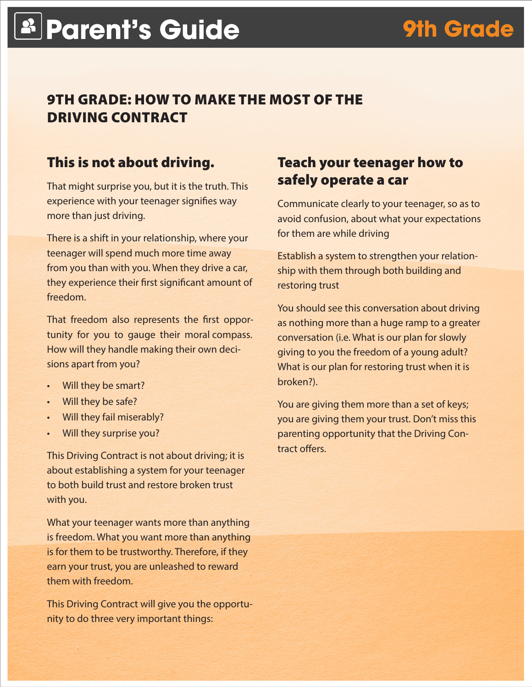# **Parent's Guide 9th Grade**

# 9TH GRADE: HOW TO MAKE THE MOST OF THE DRIVING CONTRACT

## This is not about driving.

That might surprise you, but it is the truth. This experience with your teenager signifies way more than just driving.

There is a shift in your relationship, where your teenager will spend much more time away from you than with you. When they drive a car, they experience their first significant amount of freedom.

That freedom also represents the first opportunity for you to gauge their moral compass. How will they handle making their own decisions apart from you?

- • Will they be smart?
- Will they be safe?
- **Will they fail miserably?**
- Will they surprise you?

This Driving Contract is not about driving; it is about establishing a system for your teenager to both build trust and restore broken trust with you.

What your teenager wants more than anything is freedom. What you want more than anything is for them to be trustworthy. Therefore, if they earn your trust, you are unleashed to reward them with freedom.

This Driving Contract will give you the opportunity to do three very important things:

#### Teach your teenager how to safely operate a car

Communicate clearly to your teenager, so as to avoid confusion, about what your expectations for them are while driving

Establish a system to strengthen your relationship with them through both building and restoring trust

You should see this conversation about driving as nothing more than a huge ramp to a greater conversation (i.e. What is our plan for slowly giving to you the freedom of a young adult? What is our plan for restoring trust when it is broken?).

You are giving them more than a set of keys; you are giving them your trust. Don't miss this parenting opportunity that the Driving Contract offers.